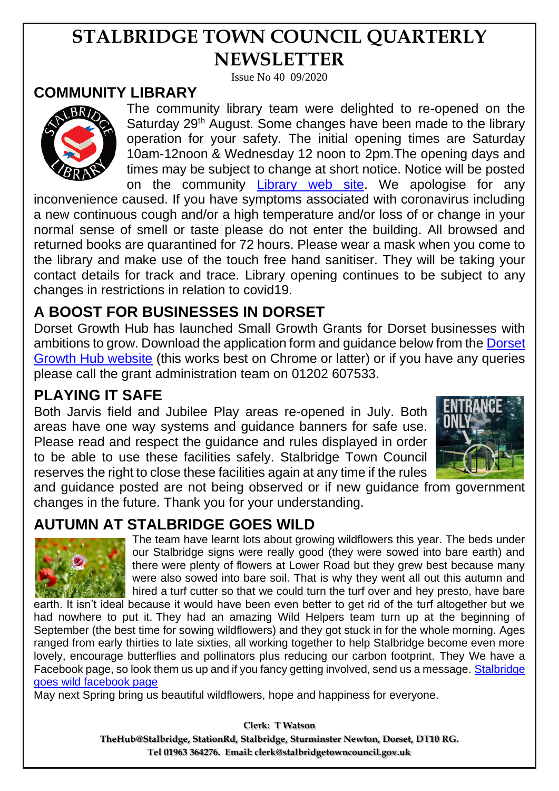# **STALBRIDGE TOWN COUNCIL QUARTERLY NEWSLETTER**

Issue No 40 09/2020

#### **COMMUNITY LIBRARY**



The community library team were delighted to re-opened on the Saturday 29<sup>th</sup> August. Some changes have been made to the library operation for your safety. The initial opening times are Saturday 10am-12noon & Wednesday 12 noon to 2pm.The opening days and times may be subject to change at short notice. Notice will be posted on the community [Library web site.](https://www.stalbridgelibrary.org/) We apologise for any

inconvenience caused. If you have symptoms associated with coronavirus including a new continuous cough and/or a high temperature and/or loss of or change in your normal sense of smell or taste please do not enter the building. All browsed and returned books are quarantined for 72 hours. Please wear a mask when you come to the library and make use of the touch free hand sanitiser. They will be taking your contact details for track and trace. Library opening continues to be subject to any changes in restrictions in relation to covid19.

### **A BOOST FOR BUSINESSES IN DORSET**

Dorset Growth Hub has launched Small Growth Grants for Dorset businesses with ambitions to grow. Download the application form and guidance below from the [Dorset](https://www.dorsetgrowthhub.co.uk/services)  [Growth Hub website](https://www.dorsetgrowthhub.co.uk/services) (this works best on Chrome or latter) or if you have any queries please call the grant administration team on 01202 607533.

#### **PLAYING IT SAFE**

Both Jarvis field and Jubilee Play areas re-opened in July. Both areas have one way systems and guidance banners for safe use. Please read and respect the guidance and rules displayed in order to be able to use these facilities safely. Stalbridge Town Council reserves the right to close these facilities again at any time if the rules



and guidance posted are not being observed or if new guidance from government changes in the future. Thank you for your understanding.

#### **AUTUMN AT STALBRIDGE GOES WILD**



The team have learnt lots about growing wildflowers this year. The beds under our Stalbridge signs were really good (they were sowed into bare earth) and there were plenty of flowers at Lower Road but they grew best because many were also sowed into bare soil. That is why they went all out this autumn and hired a turf cutter so that we could turn the turf over and hey presto, have bare

earth. It isn't ideal because it would have been even better to get rid of the turf altogether but we had nowhere to put it. They had an amazing Wild Helpers team turn up at the beginning of September (the best time for sowing wildflowers) and they got stuck in for the whole morning. Ages ranged from early thirties to late sixties, all working together to help Stalbridge become even more lovely, encourage butterflies and pollinators plus reducing our carbon footprint. They We have a Facebook page, so look them us up and if you fancy getting involved, send us a message. [Stalbridge](https://www.facebook.com/Stalbridge-Goes-Wild-Project-108782613903770)  [goes wild facebook page](https://www.facebook.com/Stalbridge-Goes-Wild-Project-108782613903770)

May next Spring bring us beautiful wildflowers, hope and happiness for everyone.

**Clerk: T Watson TheHub@Stalbridge, StationRd, Stalbridge, Sturminster Newton, Dorset, DT10 RG. Tel 01963 364276. Email: clerk@stalbridgetowncouncil.gov.uk**